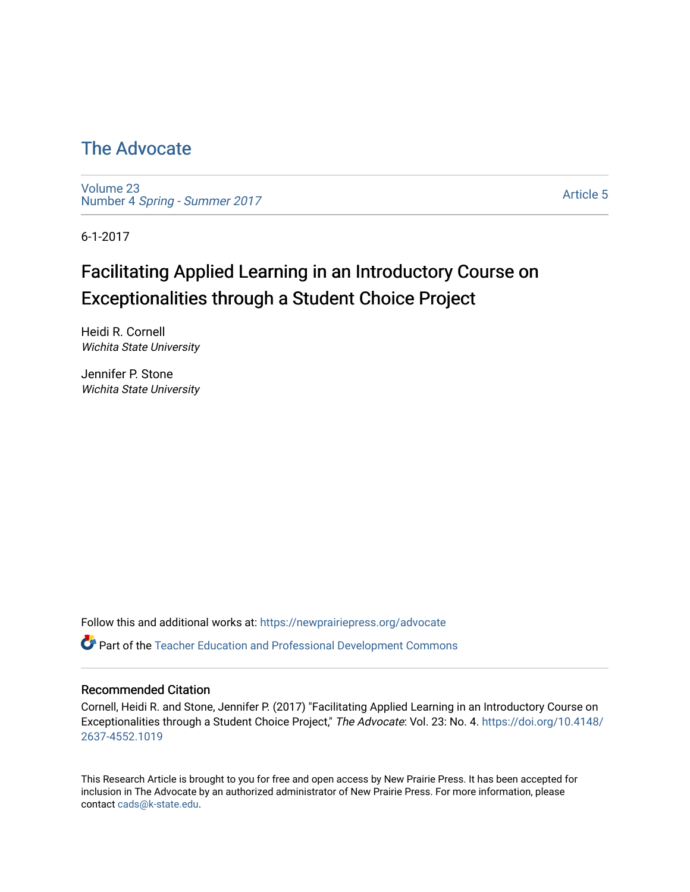# [The Advocate](https://newprairiepress.org/advocate)

[Volume 23](https://newprairiepress.org/advocate/vol23) Number 4 [Spring - Summer 2017](https://newprairiepress.org/advocate/vol23/iss4) 

[Article 5](https://newprairiepress.org/advocate/vol23/iss4/5) 

6-1-2017

# Facilitating Applied Learning in an Introductory Course on Exceptionalities through a Student Choice Project

Heidi R. Cornell Wichita State University

Jennifer P. Stone Wichita State University

Follow this and additional works at: [https://newprairiepress.org/advocate](https://newprairiepress.org/advocate?utm_source=newprairiepress.org%2Fadvocate%2Fvol23%2Fiss4%2F5&utm_medium=PDF&utm_campaign=PDFCoverPages) 

Part of the [Teacher Education and Professional Development Commons](http://network.bepress.com/hgg/discipline/803?utm_source=newprairiepress.org%2Fadvocate%2Fvol23%2Fiss4%2F5&utm_medium=PDF&utm_campaign=PDFCoverPages) 

#### Recommended Citation

Cornell, Heidi R. and Stone, Jennifer P. (2017) "Facilitating Applied Learning in an Introductory Course on Exceptionalities through a Student Choice Project," The Advocate: Vol. 23: No. 4. [https://doi.org/10.4148/](https://doi.org/10.4148/2637-4552.1019) [2637-4552.1019](https://doi.org/10.4148/2637-4552.1019) 

This Research Article is brought to you for free and open access by New Prairie Press. It has been accepted for inclusion in The Advocate by an authorized administrator of New Prairie Press. For more information, please contact [cads@k-state.edu](mailto:cads@k-state.edu).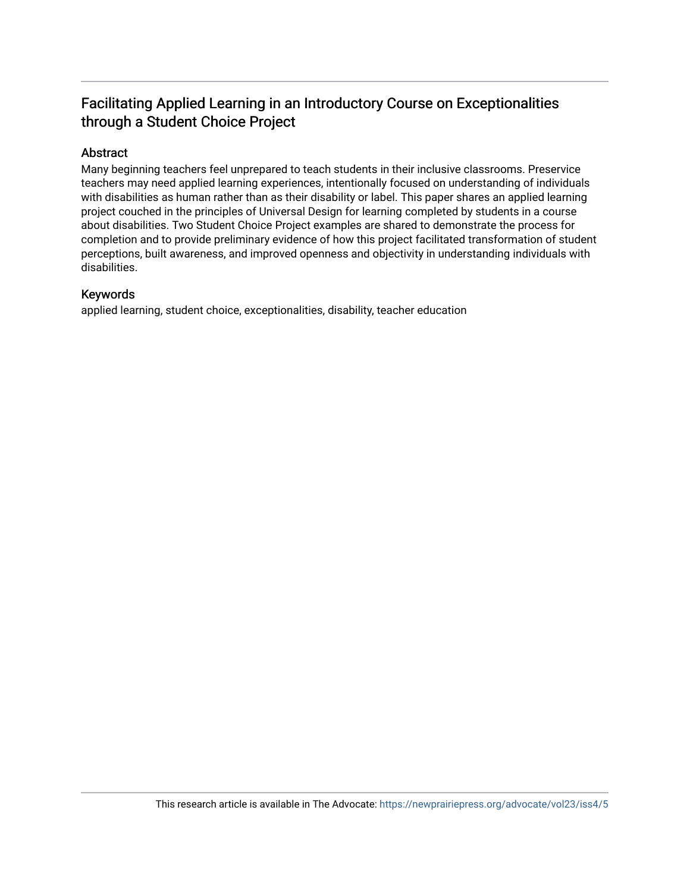# Facilitating Applied Learning in an Introductory Course on Exceptionalities through a Student Choice Project

## Abstract

Many beginning teachers feel unprepared to teach students in their inclusive classrooms. Preservice teachers may need applied learning experiences, intentionally focused on understanding of individuals with disabilities as human rather than as their disability or label. This paper shares an applied learning project couched in the principles of Universal Design for learning completed by students in a course about disabilities. Two Student Choice Project examples are shared to demonstrate the process for completion and to provide preliminary evidence of how this project facilitated transformation of student perceptions, built awareness, and improved openness and objectivity in understanding individuals with disabilities.

### Keywords

applied learning, student choice, exceptionalities, disability, teacher education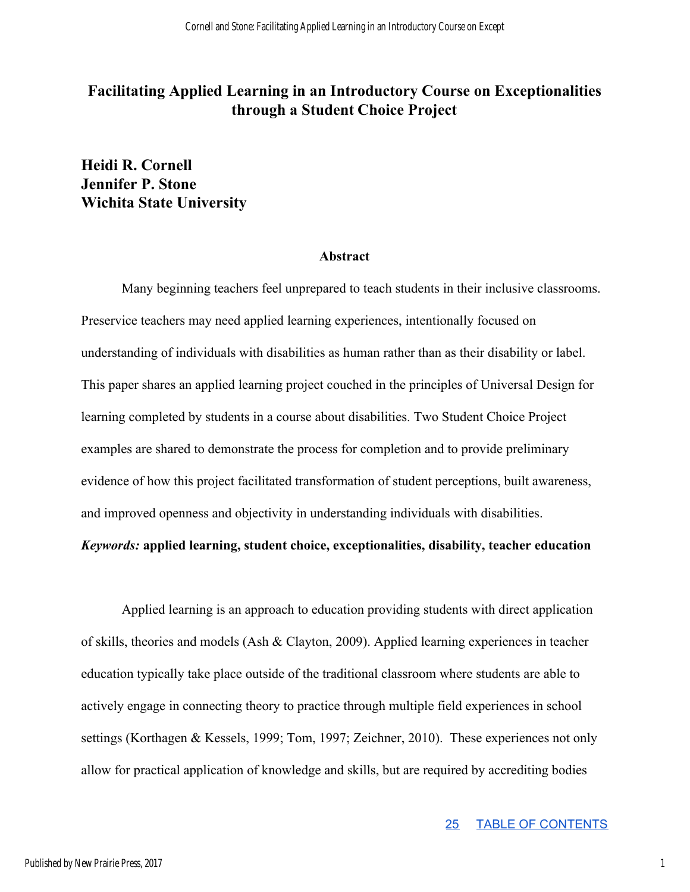## **Facilitating Applied Learning in an Introductory Course on Exceptionalities through a Student Choice Project**

## **Heidi R. Cornell Jennifer P. Stone Wichita State University**

#### **Abstract**

Many beginning teachers feel unprepared to teach students in their inclusive classrooms. Preservice teachers may need applied learning experiences, intentionally focused on understanding of individuals with disabilities as human rather than as their disability or label. This paper shares an applied learning project couched in the principles of Universal Design for learning completed by students in a course about disabilities. Two Student Choice Project examples are shared to demonstrate the process for completion and to provide preliminary evidence of how this project facilitated transformation of student perceptions, built awareness, and improved openness and objectivity in understanding individuals with disabilities.

## *Keywords:* **applied learning, student choice, exceptionalities, disability, teacher education**

Applied learning is an approach to education providing students with direct application of skills, theories and models (Ash & Clayton, 2009). Applied learning experiences in teacher education typically take place outside of the traditional classroom where students are able to actively engage in connecting theory to practice through multiple field experiences in school settings (Korthagen & Kessels, 1999; Tom, 1997; Zeichner, 2010). These experiences not only allow for practical application of knowledge and skills, but are required by accrediting bodies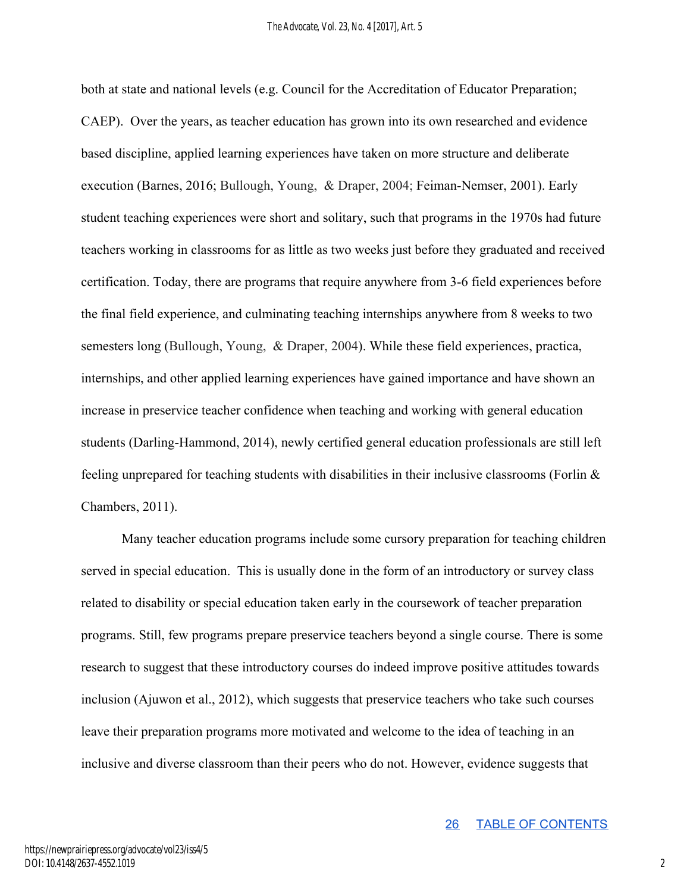both at state and national levels (e.g. Council for the Accreditation of Educator Preparation; CAEP). Over the years, as teacher education has grown into its own researched and evidence based discipline, applied learning experiences have taken on more structure and deliberate execution (Barnes, 2016; Bullough, Young, & Draper, 2004; Feiman-Nemser, 2001). Early student teaching experiences were short and solitary, such that programs in the 1970s had future teachers working in classrooms for as little as two weeks just before they graduated and received certification. Today, there are programs that require anywhere from 3-6 field experiences before the final field experience, and culminating teaching internships anywhere from 8 weeks to two semesters long (Bullough, Young, & Draper, 2004). While these field experiences, practica, internships, and other applied learning experiences have gained importance and have shown an increase in preservice teacher confidence when teaching and working with general education students (Darling-Hammond, 2014), newly certified general education professionals are still left feeling unprepared for teaching students with disabilities in their inclusive classrooms (Forlin & Chambers, 2011).

Many teacher education programs include some cursory preparation for teaching children served in special education. This is usually done in the form of an introductory or survey class related to disability or special education taken early in the coursework of teacher preparation programs. Still, few programs prepare preservice teachers beyond a single course. There is some research to suggest that these introductory courses do indeed improve positive attitudes towards inclusion (Ajuwon et al., 2012), which suggests that preservice teachers who take such courses leave their preparation programs more motivated and welcome to the idea of teaching in an inclusive and diverse classroom than their peers who do not. However, evidence suggests that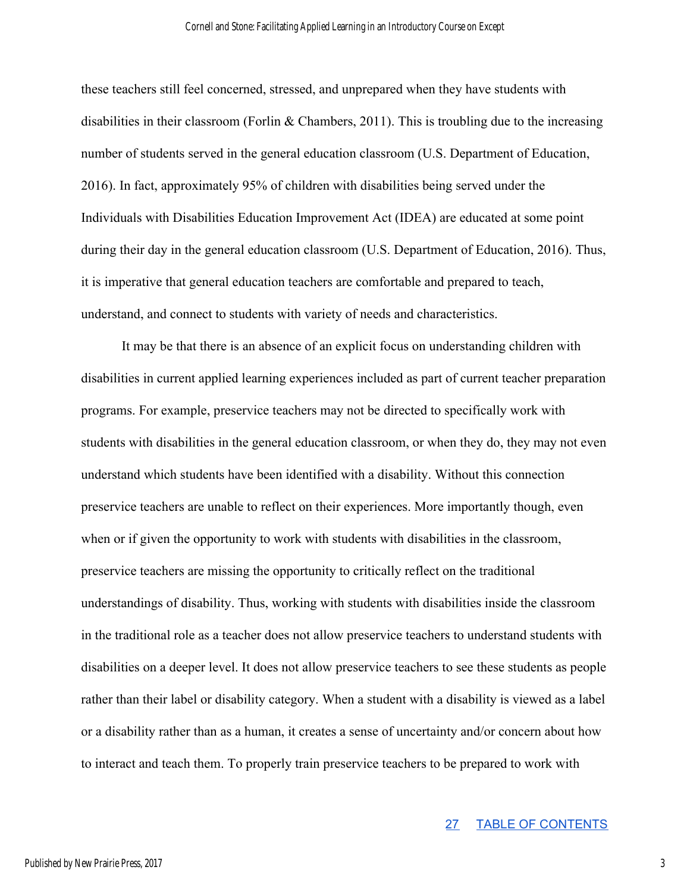these teachers still feel concerned, stressed, and unprepared when they have students with disabilities in their classroom (Forlin & Chambers, 2011). This is troubling due to the increasing number of students served in the general education classroom (U.S. Department of Education, 2016). In fact, approximately 95% of children with disabilities being served under the Individuals with Disabilities Education Improvement Act (IDEA) are educated at some point during their day in the general education classroom (U.S. Department of Education, 2016). Thus, it is imperative that general education teachers are comfortable and prepared to teach, understand, and connect to students with variety of needs and characteristics.

It may be that there is an absence of an explicit focus on understanding children with disabilities in current applied learning experiences included as part of current teacher preparation programs. For example, preservice teachers may not be directed to specifically work with students with disabilities in the general education classroom, or when they do, they may not even understand which students have been identified with a disability. Without this connection preservice teachers are unable to reflect on their experiences. More importantly though, even when or if given the opportunity to work with students with disabilities in the classroom, preservice teachers are missing the opportunity to critically reflect on the traditional understandings of disability. Thus, working with students with disabilities inside the classroom in the traditional role as a teacher does not allow preservice teachers to understand students with disabilities on a deeper level. It does not allow preservice teachers to see these students as people rather than their label or disability category. When a student with a disability is viewed as a label or a disability rather than as a human, it creates a sense of uncertainty and/or concern about how to interact and teach them. To properly train preservice teachers to be prepared to work with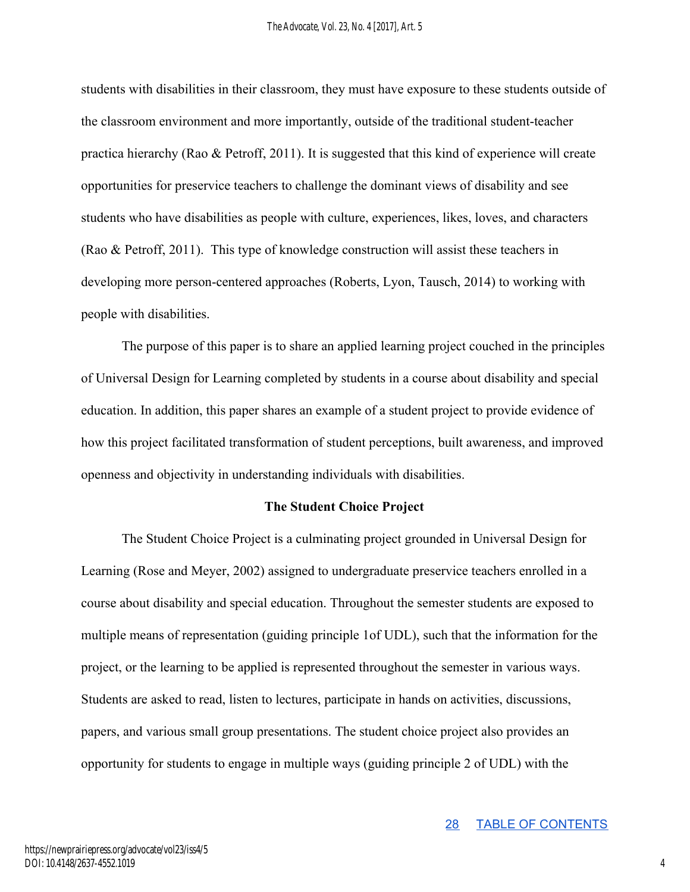students with disabilities in their classroom, they must have exposure to these students outside of the classroom environment and more importantly, outside of the traditional student-teacher practica hierarchy (Rao & Petroff, 2011). It is suggested that this kind of experience will create opportunities for preservice teachers to challenge the dominant views of disability and see students who have disabilities as people with culture, experiences, likes, loves, and characters (Rao & Petroff, 2011). This type of knowledge construction will assist these teachers in developing more person-centered approaches (Roberts, Lyon, Tausch, 2014) to working with people with disabilities.

The purpose of this paper is to share an applied learning project couched in the principles of Universal Design for Learning completed by students in a course about disability and special education. In addition, this paper shares an example of a student project to provide evidence of how this project facilitated transformation of student perceptions, built awareness, and improved openness and objectivity in understanding individuals with disabilities.

#### **The Student Choice Project**

The Student Choice Project is a culminating project grounded in Universal Design for Learning (Rose and Meyer, 2002) assigned to undergraduate preservice teachers enrolled in a course about disability and special education. Throughout the semester students are exposed to multiple means of representation (guiding principle 1of UDL), such that the information for the project, or the learning to be applied is represented throughout the semester in various ways. Students are asked to read, listen to lectures, participate in hands on activities, discussions, papers, and various small group presentations. The student choice project also provides an opportunity for students to engage in multiple ways (guiding principle 2 of UDL) with the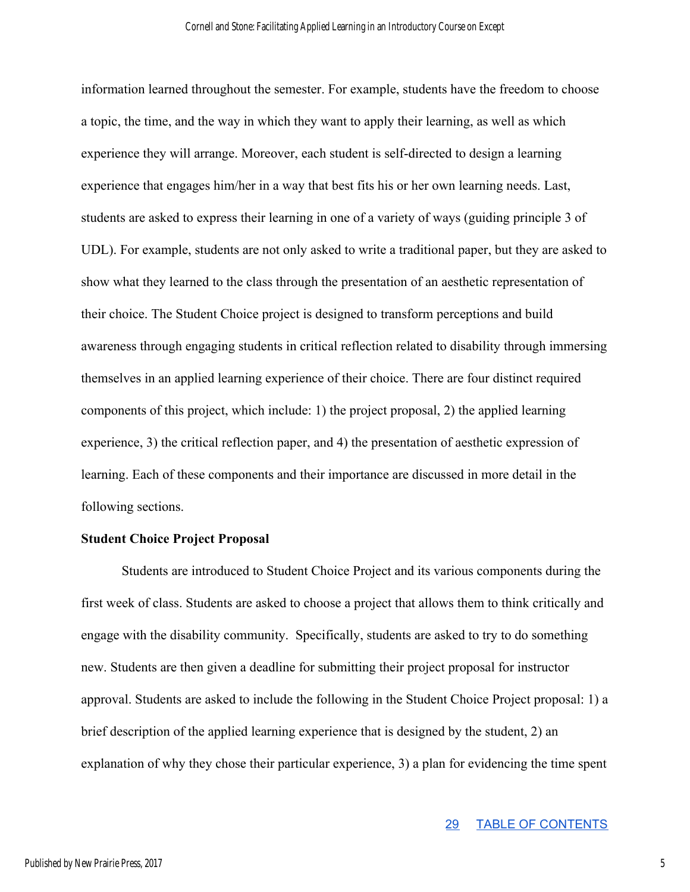information learned throughout the semester. For example, students have the freedom to choose a topic, the time, and the way in which they want to apply their learning, as well as which experience they will arrange. Moreover, each student is self-directed to design a learning experience that engages him/her in a way that best fits his or her own learning needs. Last, students are asked to express their learning in one of a variety of ways (guiding principle 3 of UDL). For example, students are not only asked to write a traditional paper, but they are asked to show what they learned to the class through the presentation of an aesthetic representation of their choice. The Student Choice project is designed to transform perceptions and build awareness through engaging students in critical reflection related to disability through immersing themselves in an applied learning experience of their choice. There are four distinct required components of this project, which include: 1) the project proposal, 2) the applied learning experience, 3) the critical reflection paper, and 4) the presentation of aesthetic expression of learning. Each of these components and their importance are discussed in more detail in the following sections.

#### **Student Choice Project Proposal**

Students are introduced to Student Choice Project and its various components during the first week of class. Students are asked to choose a project that allows them to think critically and engage with the disability community. Specifically, students are asked to try to do something new. Students are then given a deadline for submitting their project proposal for instructor approval. Students are asked to include the following in the Student Choice Project proposal: 1) a brief description of the applied learning experience that is designed by the student, 2) an explanation of why they chose their particular experience, 3) a plan for evidencing the time spent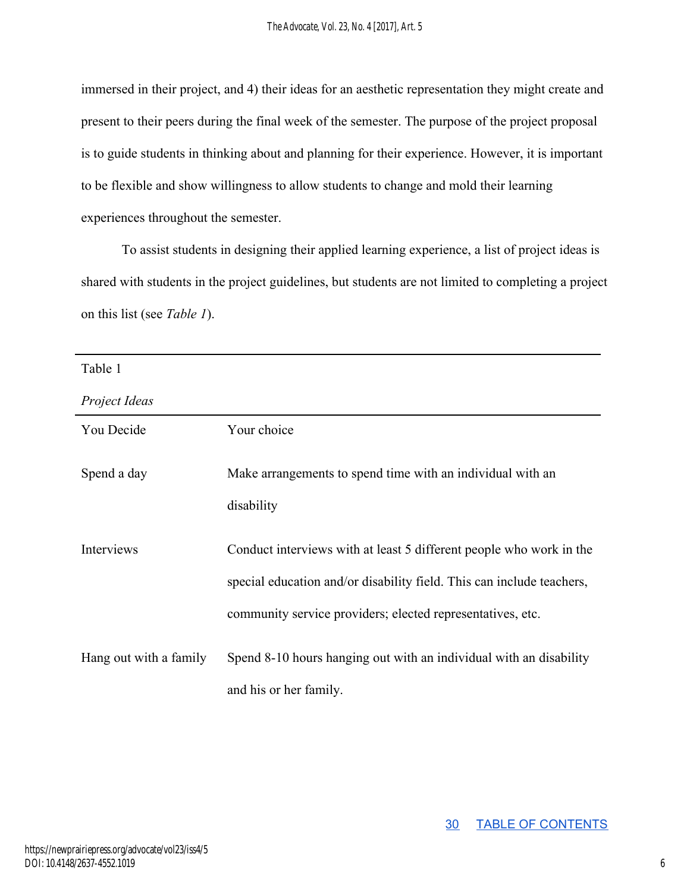immersed in their project, and 4) their ideas for an aesthetic representation they might create and present to their peers during the final week of the semester. The purpose of the project proposal is to guide students in thinking about and planning for their experience. However, it is important to be flexible and show willingness to allow students to change and mold their learning experiences throughout the semester.

To assist students in designing their applied learning experience, a list of project ideas is shared with students in the project guidelines, but students are not limited to completing a project on this list (see *Table 1*).

| Table 1                |                                                                                                                                                                                                            |
|------------------------|------------------------------------------------------------------------------------------------------------------------------------------------------------------------------------------------------------|
| Project Ideas          |                                                                                                                                                                                                            |
| You Decide             | Your choice                                                                                                                                                                                                |
| Spend a day            | Make arrangements to spend time with an individual with an<br>disability                                                                                                                                   |
| Interviews             | Conduct interviews with at least 5 different people who work in the<br>special education and/or disability field. This can include teachers,<br>community service providers; elected representatives, etc. |
| Hang out with a family | Spend 8-10 hours hanging out with an individual with an disability<br>and his or her family.                                                                                                               |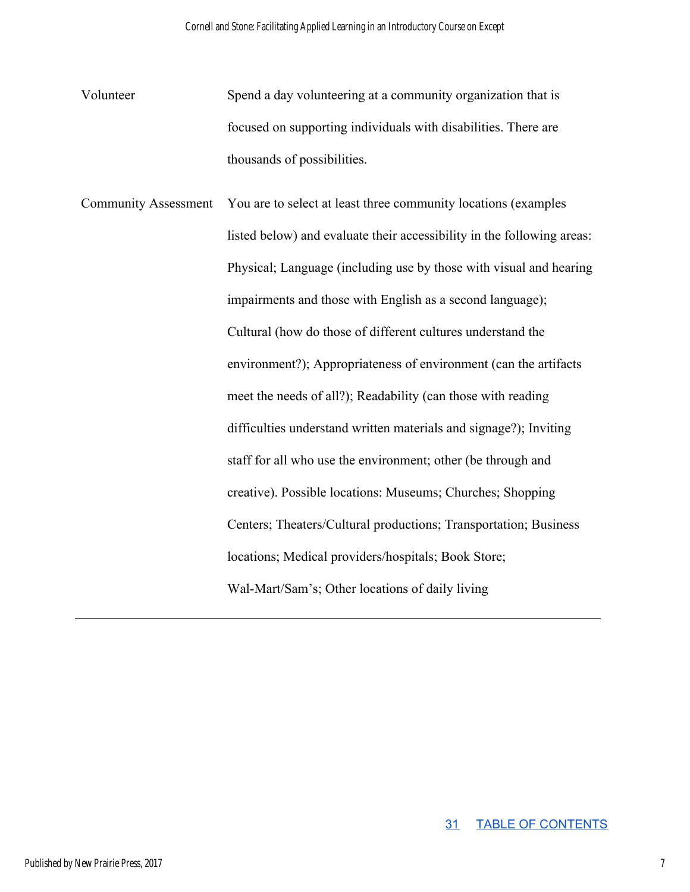- Volunteer Spend a day volunteering at a community organization that is focused on supporting individuals with disabilities. There are thousands of possibilities.
- Community Assessment You are to select at least three community locations (examples listed below) and evaluate their accessibility in the following areas: Physical; Language (including use by those with visual and hearing impairments and those with English as a second language); Cultural (how do those of different cultures understand the environment?); Appropriateness of environment (can the artifacts meet the needs of all?); Readability (can those with reading difficulties understand written materials and signage?); Inviting staff for all who use the environment; other (be through and creative). Possible locations: Museums; Churches; Shopping Centers; Theaters/Cultural productions; Transportation; Business locations; Medical providers/hospitals; Book Store; Wal-Mart/Sam's; Other locations of daily living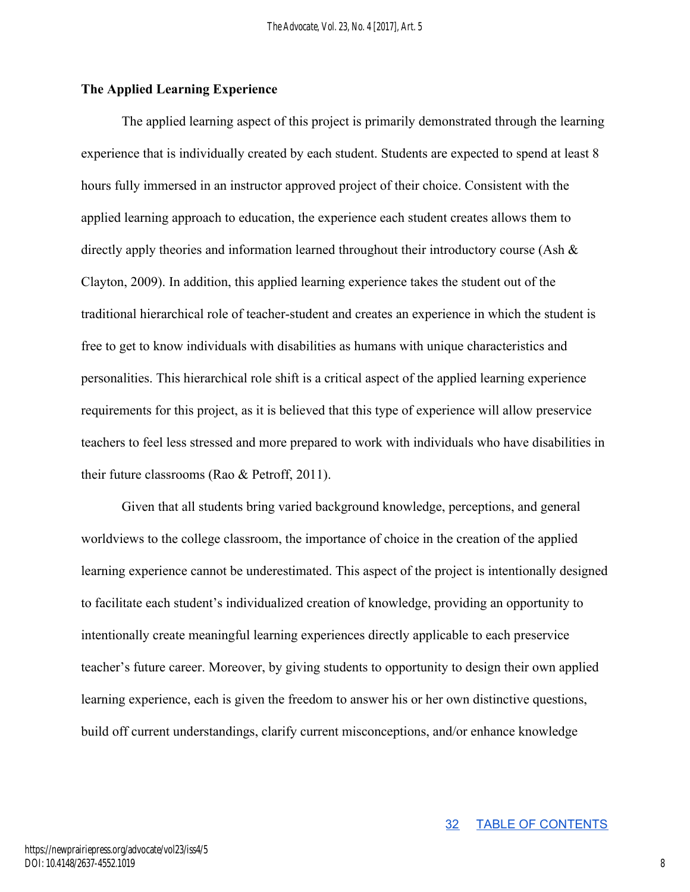#### **The Applied Learning Experience**

The applied learning aspect of this project is primarily demonstrated through the learning experience that is individually created by each student. Students are expected to spend at least 8 hours fully immersed in an instructor approved project of their choice. Consistent with the applied learning approach to education, the experience each student creates allows them to directly apply theories and information learned throughout their introductory course (Ash & Clayton, 2009). In addition, this applied learning experience takes the student out of the traditional hierarchical role of teacher-student and creates an experience in which the student is free to get to know individuals with disabilities as humans with unique characteristics and personalities. This hierarchical role shift is a critical aspect of the applied learning experience requirements for this project, as it is believed that this type of experience will allow preservice teachers to feel less stressed and more prepared to work with individuals who have disabilities in their future classrooms (Rao & Petroff, 2011).

Given that all students bring varied background knowledge, perceptions, and general worldviews to the college classroom, the importance of choice in the creation of the applied learning experience cannot be underestimated. This aspect of the project is intentionally designed to facilitate each student's individualized creation of knowledge, providing an opportunity to intentionally create meaningful learning experiences directly applicable to each preservice teacher's future career. Moreover, by giving students to opportunity to design their own applied learning experience, each is given the freedom to answer his or her own distinctive questions, build off current understandings, clarify current misconceptions, and/or enhance knowledge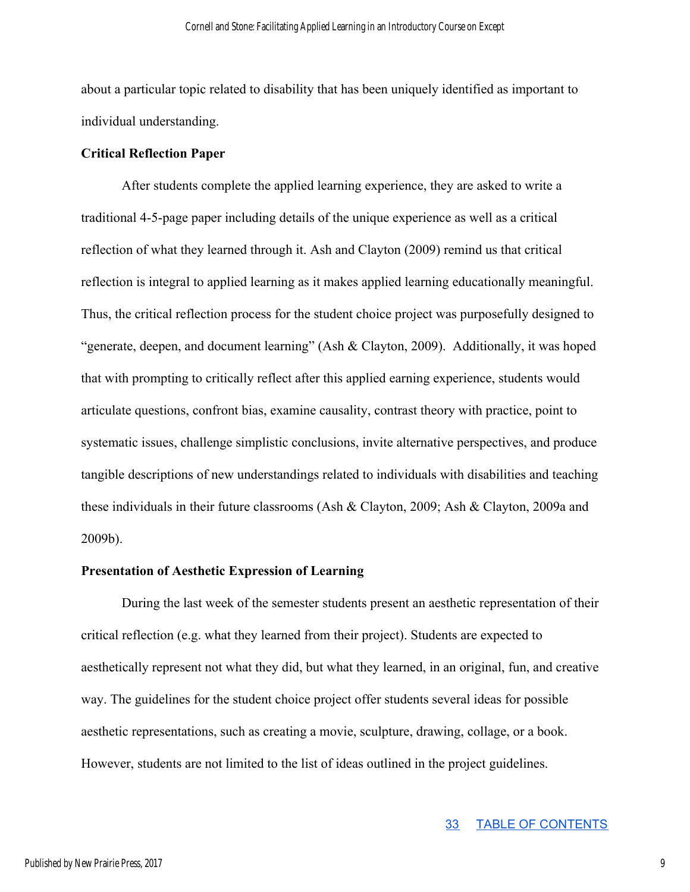about a particular topic related to disability that has been uniquely identified as important to individual understanding.

#### **Critical Reflection Paper**

After students complete the applied learning experience, they are asked to write a traditional 4-5-page paper including details of the unique experience as well as a critical reflection of what they learned through it. Ash and Clayton (2009) remind us that critical reflection is integral to applied learning as it makes applied learning educationally meaningful. Thus, the critical reflection process for the student choice project was purposefully designed to "generate, deepen, and document learning" (Ash & Clayton, 2009). Additionally, it was hoped that with prompting to critically reflect after this applied earning experience, students would articulate questions, confront bias, examine causality, contrast theory with practice, point to systematic issues, challenge simplistic conclusions, invite alternative perspectives, and produce tangible descriptions of new understandings related to individuals with disabilities and teaching these individuals in their future classrooms (Ash & Clayton, 2009; Ash & Clayton, 2009a and 2009b).

#### **Presentation of Aesthetic Expression of Learning**

During the last week of the semester students present an aesthetic representation of their critical reflection (e.g. what they learned from their project). Students are expected to aesthetically represent not what they did, but what they learned, in an original, fun, and creative way. The guidelines for the student choice project offer students several ideas for possible aesthetic representations, such as creating a movie, sculpture, drawing, collage, or a book. However, students are not limited to the list of ideas outlined in the project guidelines.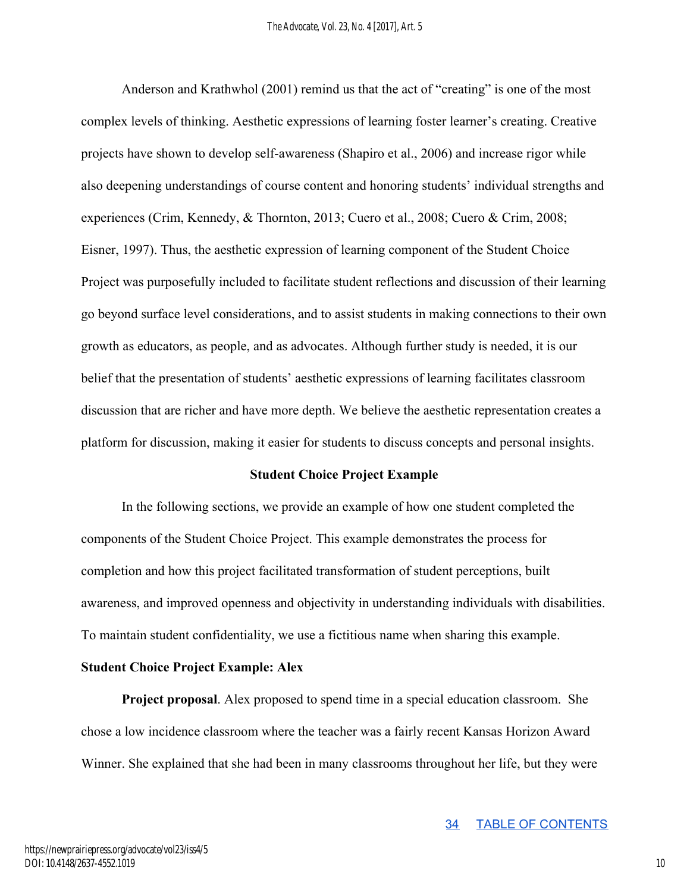Anderson and Krathwhol (2001) remind us that the act of "creating" is one of the most complex levels of thinking. Aesthetic expressions of learning foster learner's creating. Creative projects have shown to develop self-awareness (Shapiro et al., 2006) and increase rigor while also deepening understandings of course content and honoring students' individual strengths and experiences (Crim, Kennedy, & Thornton, 2013; Cuero et al., 2008; Cuero & Crim, 2008; Eisner, 1997). Thus, the aesthetic expression of learning component of the Student Choice Project was purposefully included to facilitate student reflections and discussion of their learning go beyond surface level considerations, and to assist students in making connections to their own growth as educators, as people, and as advocates. Although further study is needed, it is our belief that the presentation of students' aesthetic expressions of learning facilitates classroom discussion that are richer and have more depth. We believe the aesthetic representation creates a platform for discussion, making it easier for students to discuss concepts and personal insights.

#### **Student Choice Project Example**

In the following sections, we provide an example of how one student completed the components of the Student Choice Project. This example demonstrates the process for completion and how this project facilitated transformation of student perceptions, built awareness, and improved openness and objectivity in understanding individuals with disabilities. To maintain student confidentiality, we use a fictitious name when sharing this example.

#### **Student Choice Project Example: Alex**

**Project proposal**. Alex proposed to spend time in a special education classroom. She chose a low incidence classroom where the teacher was a fairly recent Kansas Horizon Award Winner. She explained that she had been in many classrooms throughout her life, but they were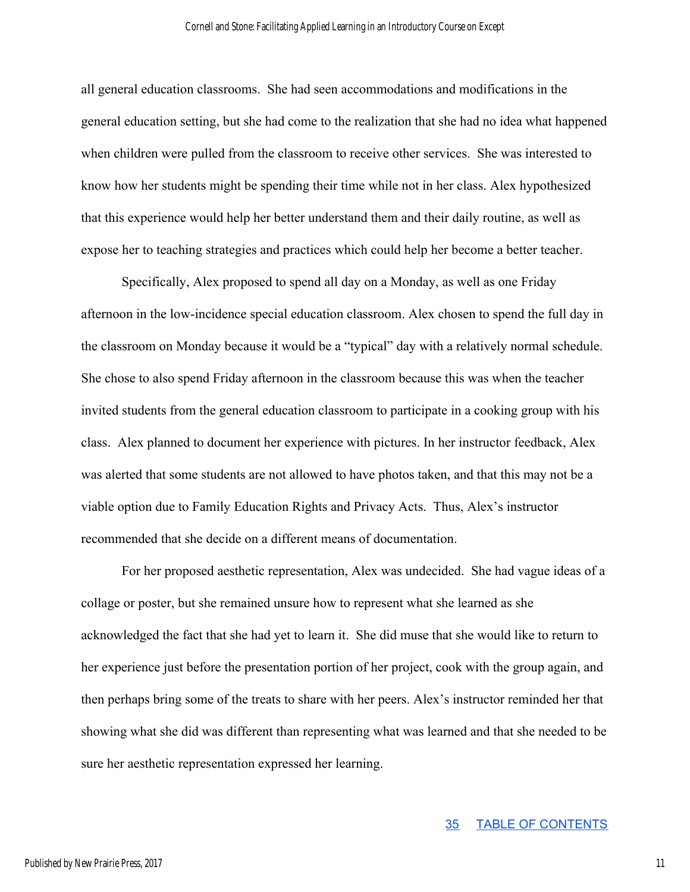all general education classrooms. She had seen accommodations and modifications in the general education setting, but she had come to the realization that she had no idea what happened when children were pulled from the classroom to receive other services. She was interested to know how her students might be spending their time while not in her class. Alex hypothesized that this experience would help her better understand them and their daily routine, as well as expose her to teaching strategies and practices which could help her become a better teacher.

Specifically, Alex proposed to spend all day on a Monday, as well as one Friday afternoon in the low-incidence special education classroom. Alex chosen to spend the full day in the classroom on Monday because it would be a "typical" day with a relatively normal schedule. She chose to also spend Friday afternoon in the classroom because this was when the teacher invited students from the general education classroom to participate in a cooking group with his class. Alex planned to document her experience with pictures. In her instructor feedback, Alex was alerted that some students are not allowed to have photos taken, and that this may not be a viable option due to Family Education Rights and Privacy Acts. Thus, Alex's instructor recommended that she decide on a different means of documentation.

For her proposed aesthetic representation, Alex was undecided. She had vague ideas of a collage or poster, but she remained unsure how to represent what she learned as she acknowledged the fact that she had yet to learn it. She did muse that she would like to return to her experience just before the presentation portion of her project, cook with the group again, and then perhaps bring some of the treats to share with her peers. Alex's instructor reminded her that showing what she did was different than representing what was learned and that she needed to be sure her aesthetic representation expressed her learning.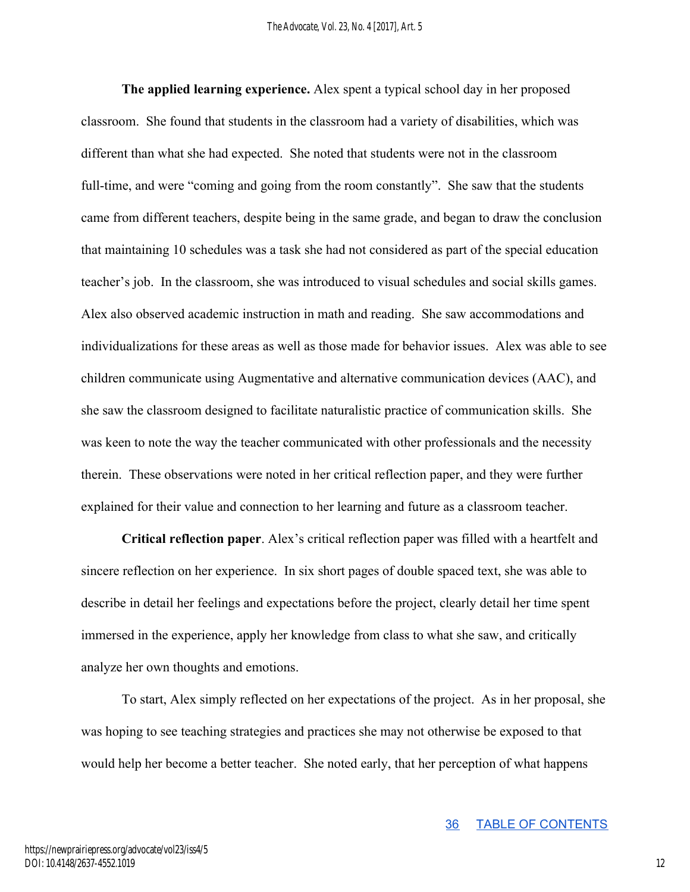**The applied learning experience.** Alex spent a typical school day in her proposed classroom. She found that students in the classroom had a variety of disabilities, which was different than what she had expected. She noted that students were not in the classroom full-time, and were "coming and going from the room constantly". She saw that the students came from different teachers, despite being in the same grade, and began to draw the conclusion that maintaining 10 schedules was a task she had not considered as part of the special education teacher's job. In the classroom, she was introduced to visual schedules and social skills games. Alex also observed academic instruction in math and reading. She saw accommodations and individualizations for these areas as well as those made for behavior issues. Alex was able to see children communicate using Augmentative and alternative communication devices (AAC), and she saw the classroom designed to facilitate naturalistic practice of communication skills. She was keen to note the way the teacher communicated with other professionals and the necessity therein. These observations were noted in her critical reflection paper, and they were further explained for their value and connection to her learning and future as a classroom teacher.

**Critical reflection paper**. Alex's critical reflection paper was filled with a heartfelt and sincere reflection on her experience. In six short pages of double spaced text, she was able to describe in detail her feelings and expectations before the project, clearly detail her time spent immersed in the experience, apply her knowledge from class to what she saw, and critically analyze her own thoughts and emotions.

To start, Alex simply reflected on her expectations of the project. As in her proposal, she was hoping to see teaching strategies and practices she may not otherwise be exposed to that would help her become a better teacher. She noted early, that her perception of what happens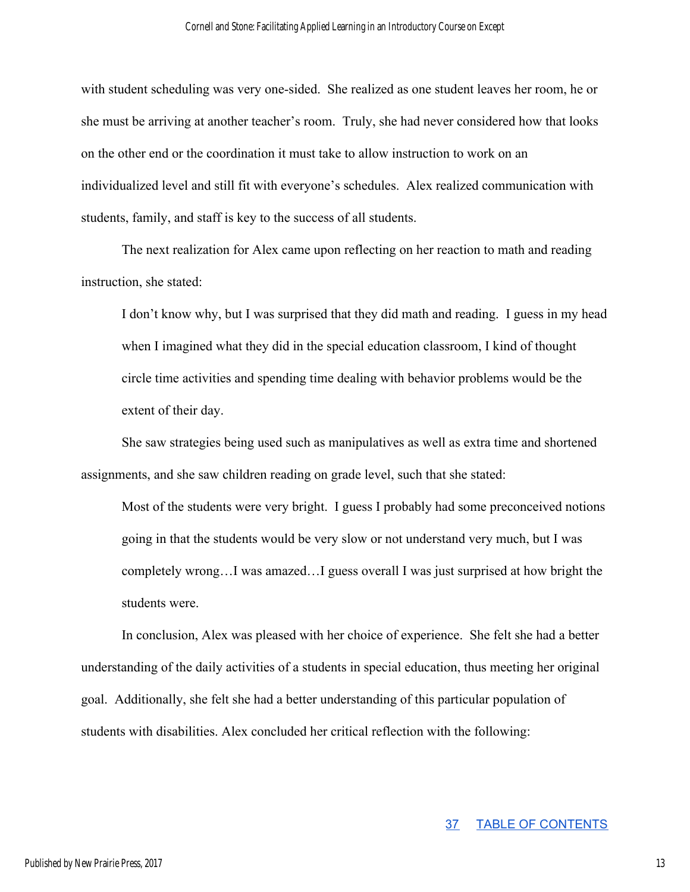with student scheduling was very one-sided. She realized as one student leaves her room, he or she must be arriving at another teacher's room. Truly, she had never considered how that looks on the other end or the coordination it must take to allow instruction to work on an individualized level and still fit with everyone's schedules. Alex realized communication with students, family, and staff is key to the success of all students.

The next realization for Alex came upon reflecting on her reaction to math and reading instruction, she stated:

I don't know why, but I was surprised that they did math and reading. I guess in my head when I imagined what they did in the special education classroom, I kind of thought circle time activities and spending time dealing with behavior problems would be the extent of their day.

She saw strategies being used such as manipulatives as well as extra time and shortened assignments, and she saw children reading on grade level, such that she stated:

Most of the students were very bright. I guess I probably had some preconceived notions going in that the students would be very slow or not understand very much, but I was completely wrong…I was amazed…I guess overall I was just surprised at how bright the students were.

In conclusion, Alex was pleased with her choice of experience. She felt she had a better understanding of the daily activities of a students in special education, thus meeting her original goal. Additionally, she felt she had a better understanding of this particular population of students with disabilities. Alex concluded her critical reflection with the following: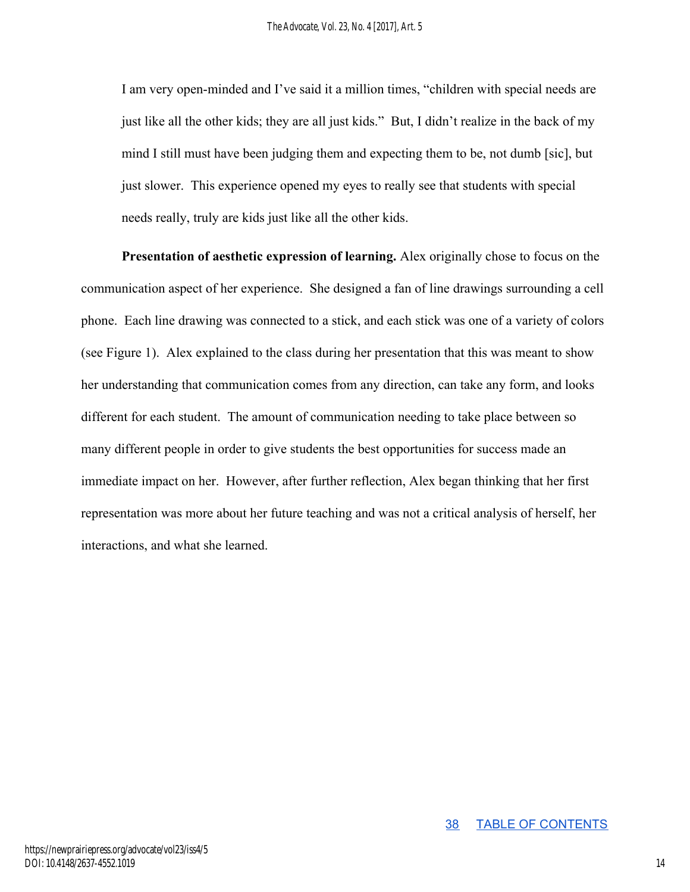I am very open-minded and I've said it a million times, "children with special needs are just like all the other kids; they are all just kids." But, I didn't realize in the back of my mind I still must have been judging them and expecting them to be, not dumb [sic], but just slower. This experience opened my eyes to really see that students with special needs really, truly are kids just like all the other kids.

**Presentation of aesthetic expression of learning.** Alex originally chose to focus on the communication aspect of her experience. She designed a fan of line drawings surrounding a cell phone. Each line drawing was connected to a stick, and each stick was one of a variety of colors (see Figure 1). Alex explained to the class during her presentation that this was meant to show her understanding that communication comes from any direction, can take any form, and looks different for each student. The amount of communication needing to take place between so many different people in order to give students the best opportunities for success made an immediate impact on her. However, after further reflection, Alex began thinking that her first representation was more about her future teaching and was not a critical analysis of herself, her interactions, and what she learned.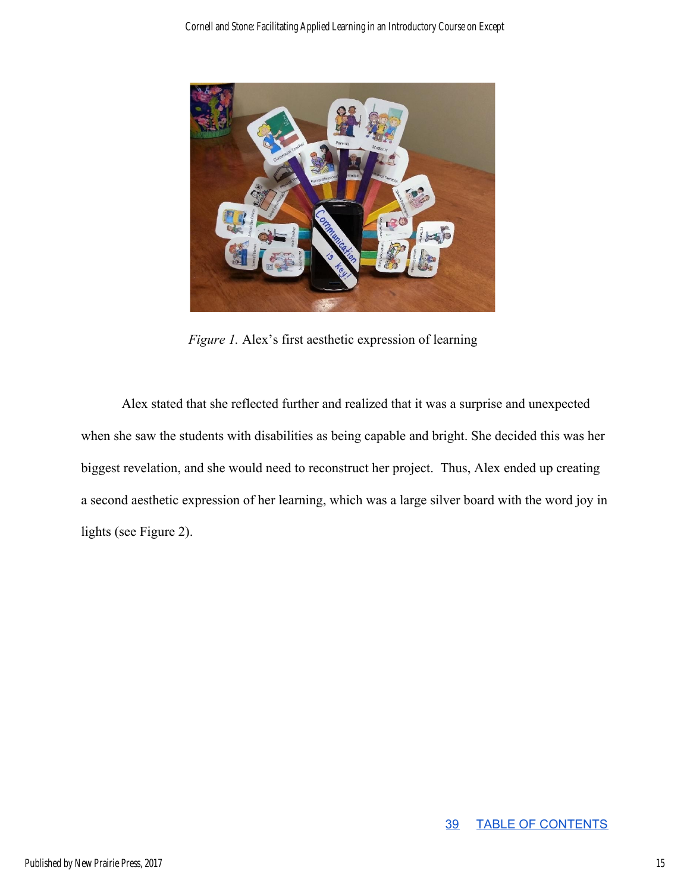

*Figure 1.* Alex's first aesthetic expression of learning

Alex stated that she reflected further and realized that it was a surprise and unexpected when she saw the students with disabilities as being capable and bright. She decided this was her biggest revelation, and she would need to reconstruct her project. Thus, Alex ended up creating a second aesthetic expression of her learning, which was a large silver board with the word joy in lights (see Figure 2).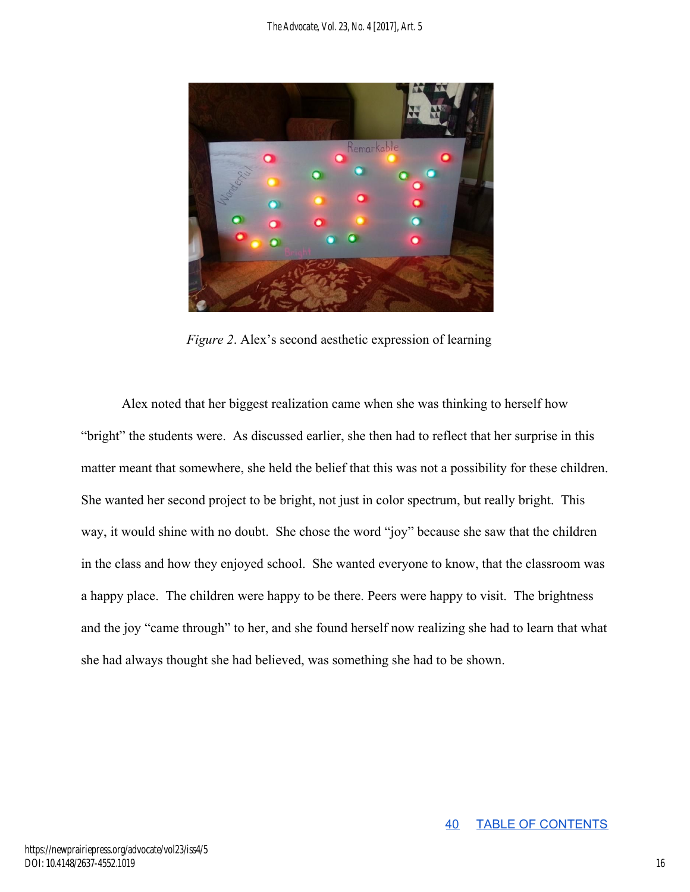

*Figure 2*. Alex's second aesthetic expression of learning

Alex noted that her biggest realization came when she was thinking to herself how "bright" the students were. As discussed earlier, she then had to reflect that her surprise in this matter meant that somewhere, she held the belief that this was not a possibility for these children. She wanted her second project to be bright, not just in color spectrum, but really bright. This way, it would shine with no doubt. She chose the word "joy" because she saw that the children in the class and how they enjoyed school. She wanted everyone to know, that the classroom was a happy place. The children were happy to be there. Peers were happy to visit. The brightness and the joy "came through" to her, and she found herself now realizing she had to learn that what she had always thought she had believed, was something she had to be shown.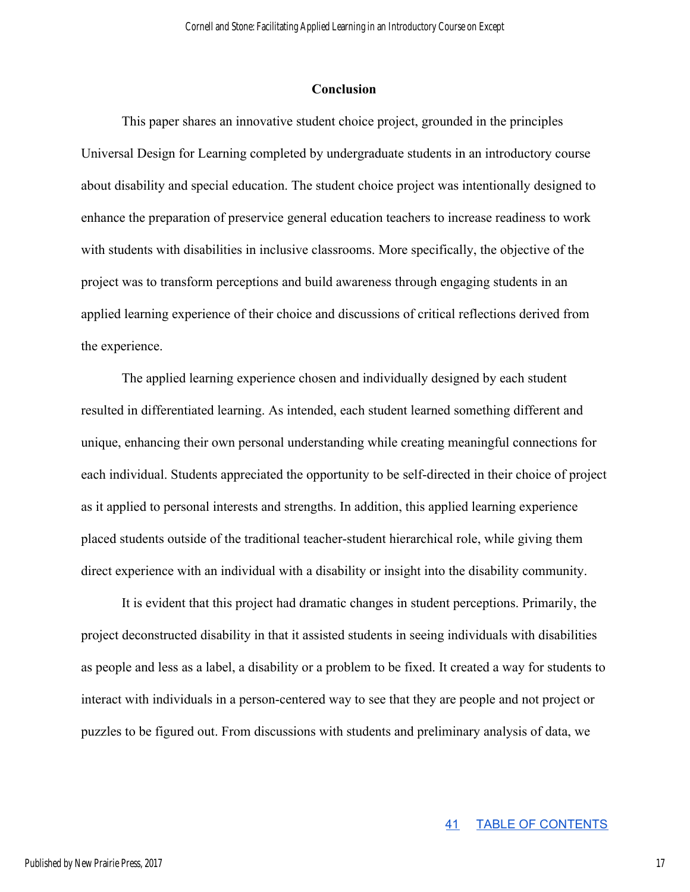#### **Conclusion**

This paper shares an innovative student choice project, grounded in the principles Universal Design for Learning completed by undergraduate students in an introductory course about disability and special education. The student choice project was intentionally designed to enhance the preparation of preservice general education teachers to increase readiness to work with students with disabilities in inclusive classrooms. More specifically, the objective of the project was to transform perceptions and build awareness through engaging students in an applied learning experience of their choice and discussions of critical reflections derived from the experience.

The applied learning experience chosen and individually designed by each student resulted in differentiated learning. As intended, each student learned something different and unique, enhancing their own personal understanding while creating meaningful connections for each individual. Students appreciated the opportunity to be self-directed in their choice of project as it applied to personal interests and strengths. In addition, this applied learning experience placed students outside of the traditional teacher-student hierarchical role, while giving them direct experience with an individual with a disability or insight into the disability community.

It is evident that this project had dramatic changes in student perceptions. Primarily, the project deconstructed disability in that it assisted students in seeing individuals with disabilities as people and less as a label, a disability or a problem to be fixed. It created a way for students to interact with individuals in a person-centered way to see that they are people and not project or puzzles to be figured out. From discussions with students and preliminary analysis of data, we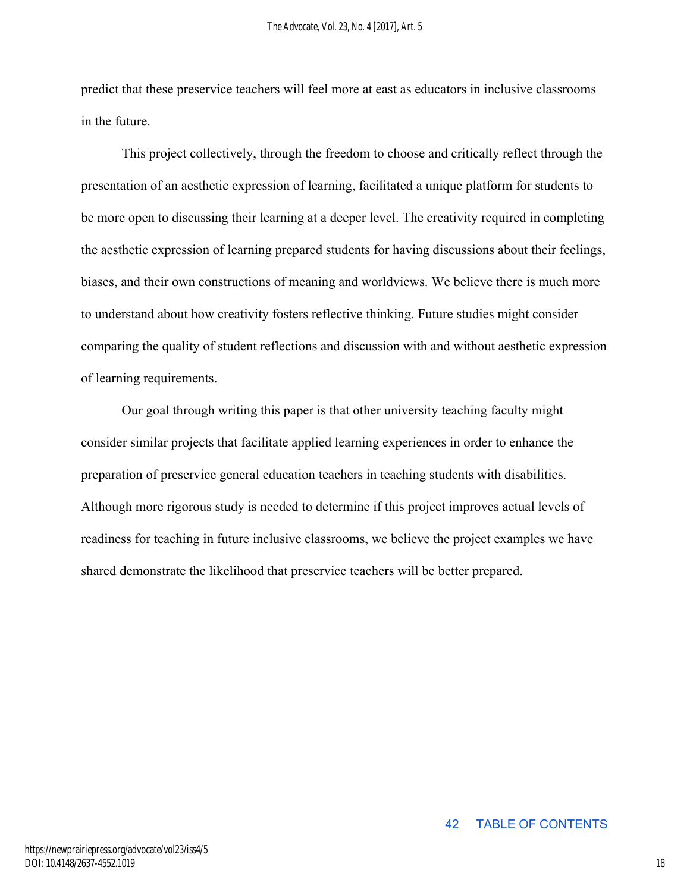predict that these preservice teachers will feel more at east as educators in inclusive classrooms in the future.

This project collectively, through the freedom to choose and critically reflect through the presentation of an aesthetic expression of learning, facilitated a unique platform for students to be more open to discussing their learning at a deeper level. The creativity required in completing the aesthetic expression of learning prepared students for having discussions about their feelings, biases, and their own constructions of meaning and worldviews. We believe there is much more to understand about how creativity fosters reflective thinking. Future studies might consider comparing the quality of student reflections and discussion with and without aesthetic expression of learning requirements.

Our goal through writing this paper is that other university teaching faculty might consider similar projects that facilitate applied learning experiences in order to enhance the preparation of preservice general education teachers in teaching students with disabilities. Although more rigorous study is needed to determine if this project improves actual levels of readiness for teaching in future inclusive classrooms, we believe the project examples we have shared demonstrate the likelihood that preservice teachers will be better prepared.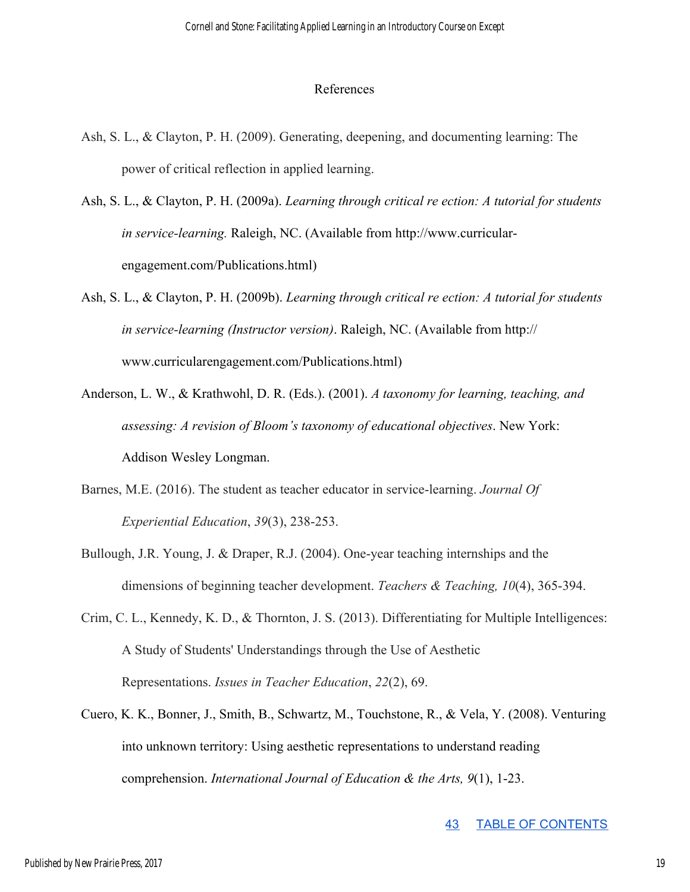#### References

- Ash, S. L., & Clayton, P. H. (2009). Generating, deepening, and documenting learning: The power of critical reflection in applied learning.
- Ash, S. L., & Clayton, P. H. (2009a). *Learning through critical re ection: A tutorial for students in service-learning.* Raleigh, NC. (Available from http://www.curricularengagement.com/Publications.html)
- Ash, S. L., & Clayton, P. H. (2009b). *Learning through critical re ection: A tutorial for students in service-learning (Instructor version)*. Raleigh, NC. (Available from http:// www.curricularengagement.com/Publications.html)
- Anderson, L. W., & Krathwohl, D. R. (Eds.). (2001). *A taxonomy for learning, teaching, and assessing: A revision of Bloom's taxonomy of educational objectives*. New York: Addison Wesley Longman.
- Barnes, M.E. (2016). The student as teacher educator in service-learning. *Journal Of Experiential Education*, *39*(3), 238-253.
- Bullough, J.R. Young, J. & Draper, R.J. (2004). One-year teaching internships and the dimensions of beginning teacher development. *Teachers & Teaching, 10*(4), 365-394.
- Crim, C. L., Kennedy, K. D., & Thornton, J. S. (2013). Differentiating for Multiple Intelligences: A Study of Students' Understandings through the Use of Aesthetic Representations. *Issues in Teacher Education*, *22*(2), 69.
- Cuero, K. K., Bonner, J., Smith, B., Schwartz, M., Touchstone, R., & Vela, Y. (2008). Venturing into unknown territory: Using aesthetic representations to understand reading comprehension. *International Journal of Education & the Arts, 9*(1), 1-23.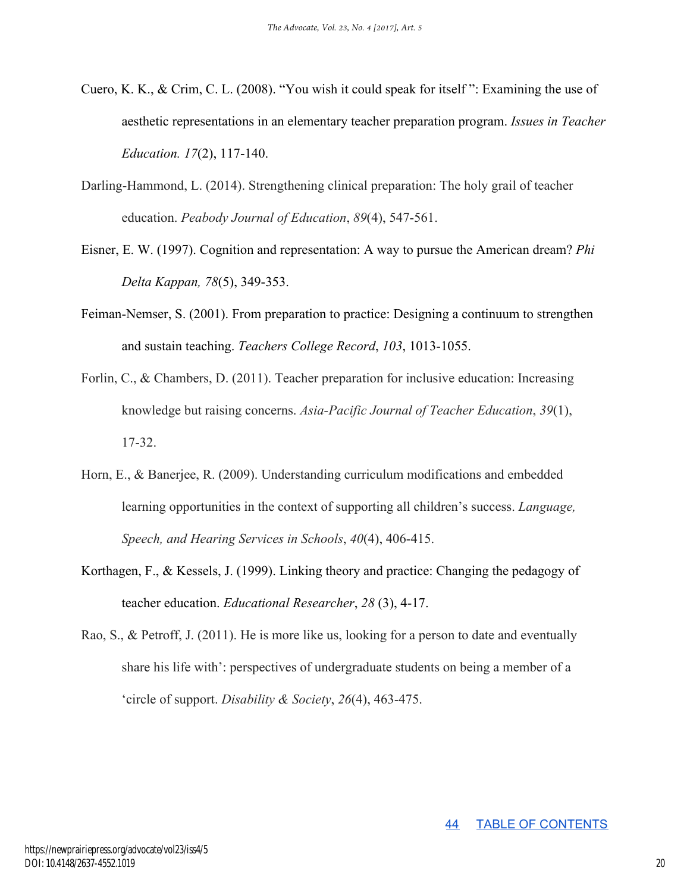- Cuero, K. K., & Crim, C. L. (2008). "You wish it could speak for itself ": Examining the use of aesthetic representations in an elementary teacher preparation program. *Issues in Teacher Education. 17*(2), 117-140.
- Darling-Hammond, L. (2014). Strengthening clinical preparation: The holy grail of teacher education. *Peabody Journal of Education*, *89*(4), 547-561.
- Eisner, E. W. (1997). Cognition and representation: A way to pursue the American dream? *Phi Delta Kappan, 78*(5), 349-353.
- Feiman-Nemser, S. (2001). From preparation to practice: Designing a continuum to strengthen and sustain teaching. *Teachers College Record*, *103*, 1013-1055.
- Forlin, C., & Chambers, D. (2011). Teacher preparation for inclusive education: Increasing knowledge but raising concerns. *Asia-Pacific Journal of Teacher Education*, *39*(1), 17-32.
- Horn, E., & Banerjee, R. (2009). Understanding curriculum modifications and embedded learning opportunities in the context of supporting all children's success. *Language, Speech, and Hearing Services in Schools*, *40*(4), 406-415.
- Korthagen, F., & Kessels, J. (1999). Linking theory and practice: Changing the pedagogy of teacher education. *Educational Researcher*, *28* (3), 4-17.
- Rao, S., & Petroff, J. (2011). He is more like us, looking for a person to date and eventually share his life with': perspectives of undergraduate students on being a member of a 'circle of support. *Disability & Society*, *26*(4), 463-475.